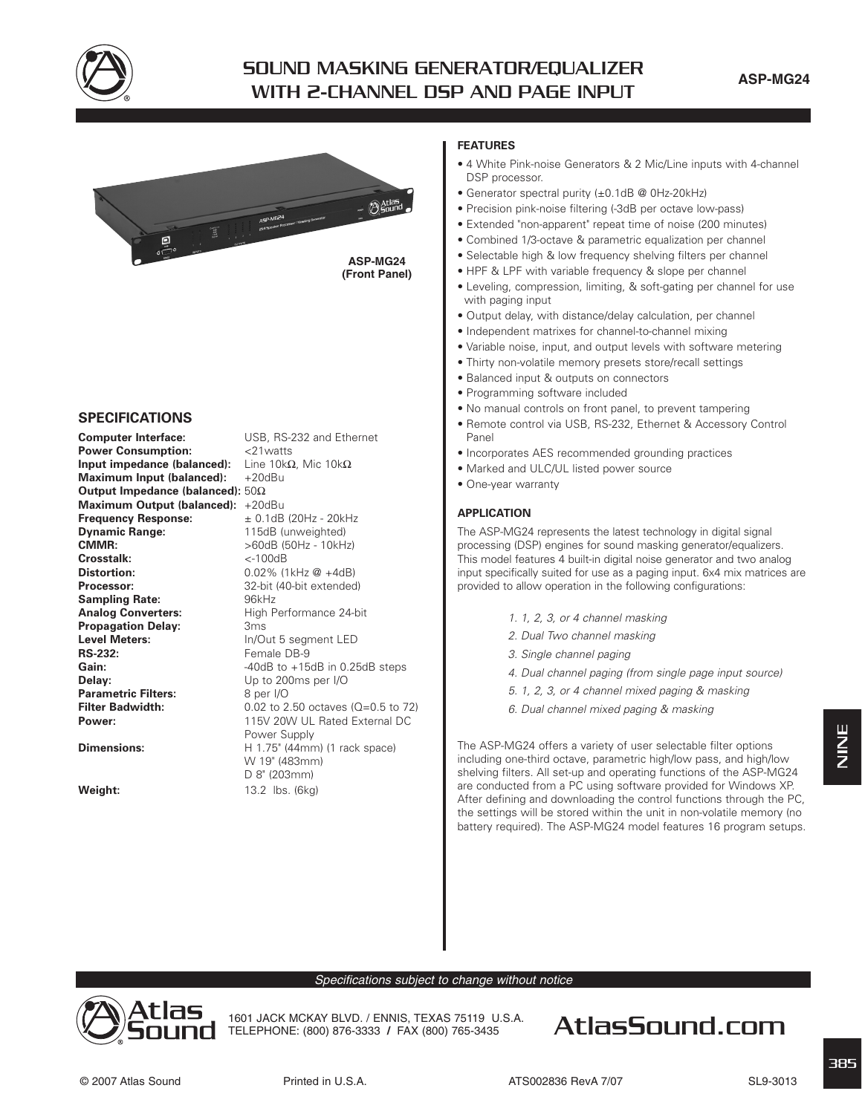

# **SOUND MASKING GENERATOR/EQUALIZER WITH 2-CHANNEL DSP AND PAGE INPUT**



## **SPECIFICATIONS**

**Computer Interface:** USB, RS-232 and Ethernet **Power Consumption:** <21watts **Input impedance (balanced):** Line 10kΩ, Mic 10kΩ **Maximum Input (balanced):** +20dBu **Output Impedance (balanced):** 50Ω **Maximum Output (balanced):** +20dBu<br>**Frequency Response:**  $\pm$  0.1dB (20Hz - 20kHz Frequency Response:<br>Dvnamic Range: **Dynamic Range:** 115dB (unweighted) **CMMR:**  $>60dB$  (50Hz - 10kHz)<br>**Crosstalk:**  $\leq$ -100dB **Crosstalk:**<br>Distortion: **Processor:** 32-bit (40-bit extended) Sampling Rate: 96kHz Analog Converters: High Performance 24-bit **Propagation Delay:** 3ms **Level Meters:** In/Out 5 seament LED **RS-232:** Female DB-9 **Gain:**  $-40dB$  to  $+15dB$  in 0.25dB steps **Delay:** Up to 200ms per I/O **Parametric Filters:** 8 per I/O<br> **Filter Badwidth:** 0.02 to 2 **Power:** 115V 20W UL Rated External DC Power Supply **Dimensions:** H 1.75" (44mm) (1 rack space) W 19" (483mm)

**Weight:** 13.2 lbs. (6kg)

**Distortion:** 0.02% (1kHz @ +4dB) **Filter Badwidth:** 0.02 to 2.50 octaves (Q=0.5 to 72) D 8" (203mm)

#### **FEATURES**

- 4 White Pink-noise Generators & 2 Mic/Line inputs with 4-channel DSP processor.
- Generator spectral purity (±0.1dB @ 0Hz-20kHz)
- Precision pink-noise filtering (-3dB per octave low-pass)
- Extended "non-apparent" repeat time of noise (200 minutes)
- Combined 1/3-octave & parametric equalization per channel
- Selectable high & low frequency shelving filters per channel
- HPF & LPF with variable frequency & slope per channel
- Leveling, compression, limiting, & soft-gating per channel for use with paging input
- Output delay, with distance/delay calculation, per channel
- Independent matrixes for channel-to-channel mixing
- Variable noise, input, and output levels with software metering
- Thirty non-volatile memory presets store/recall settings
- Balanced input & outputs on connectors
- Programming software included
- No manual controls on front panel, to prevent tampering
- Remote control via USB, RS-232, Ethernet & Accessory Control Panel
- Incorporates AES recommended grounding practices
- Marked and ULC/UL listed power source
- One-year warranty

#### **APPLICATION**

The ASP-MG24 represents the latest technology in digital signal processing (DSP) engines for sound masking generator/equalizers. This model features 4 built-in digital noise generator and two analog input specifically suited for use as a paging input. 6x4 mix matrices are provided to allow operation in the following configurations:

- 1. 1, 2, 3, or 4 channel masking
- 2. Dual Two channel masking
- 3. Single channel paging
- 4. Dual channel paging (from single page input source)
- 5. 1, 2, 3, or 4 channel mixed paging & masking
- 6. Dual channel mixed paging & masking

The ASP-MG24 offers a variety of user selectable filter options including one-third octave, parametric high/low pass, and high/low shelving filters. All set-up and operating functions of the ASP-MG24 are conducted from a PC using software provided for Windows XP. After defining and downloading the control functions through the PC, the settings will be stored within the unit in non-volatile memory (no battery required). The ASP-MG24 model features 16 program setups.

Specifications subject to change without notice



1601 JACK MCKAY BLVD. / ENNIS, TEXAS 75119 U.S.A.

# TELEPHONE: (800) 876-3333 **/** FAX (800) 765-3435 **AtlasSound.com**